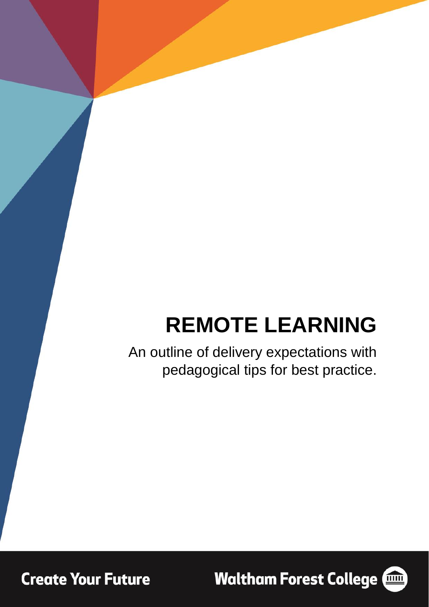# **REMOTE LEARNING**

An outline of delivery expectations with pedagogical tips for best practice.

**Create Your Future** 

**Waltham Forest College (1986)** 

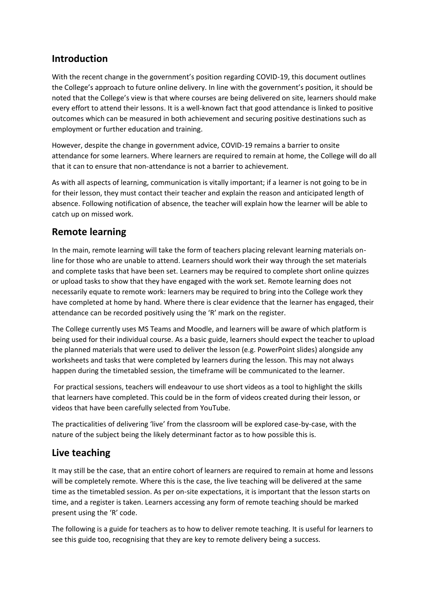# **Introduction**

With the recent change in the government's position regarding COVID-19, this document outlines the College's approach to future online delivery. In line with the government's position, it should be noted that the College's view is that where courses are being delivered on site, learners should make every effort to attend their lessons. It is a well-known fact that good attendance is linked to positive outcomes which can be measured in both achievement and securing positive destinations such as employment or further education and training.

However, despite the change in government advice, COVID-19 remains a barrier to onsite attendance for some learners. Where learners are required to remain at home, the College will do all that it can to ensure that non-attendance is not a barrier to achievement.

As with all aspects of learning, communication is vitally important; if a learner is not going to be in for their lesson, they must contact their teacher and explain the reason and anticipated length of absence. Following notification of absence, the teacher will explain how the learner will be able to catch up on missed work.

# **Remote learning**

In the main, remote learning will take the form of teachers placing relevant learning materials online for those who are unable to attend. Learners should work their way through the set materials and complete tasks that have been set. Learners may be required to complete short online quizzes or upload tasks to show that they have engaged with the work set. Remote learning does not necessarily equate to remote work: learners may be required to bring into the College work they have completed at home by hand. Where there is clear evidence that the learner has engaged, their attendance can be recorded positively using the 'R' mark on the register.

The College currently uses MS Teams and Moodle, and learners will be aware of which platform is being used for their individual course. As a basic guide, learners should expect the teacher to upload the planned materials that were used to deliver the lesson (e.g. PowerPoint slides) alongside any worksheets and tasks that were completed by learners during the lesson. This may not always happen during the timetabled session, the timeframe will be communicated to the learner.

For practical sessions, teachers will endeavour to use short videos as a tool to highlight the skills that learners have completed. This could be in the form of videos created during their lesson, or videos that have been carefully selected from YouTube.

The practicalities of delivering 'live' from the classroom will be explored case-by-case, with the nature of the subject being the likely determinant factor as to how possible this is.

#### **Live teaching**

It may still be the case, that an entire cohort of learners are required to remain at home and lessons will be completely remote. Where this is the case, the live teaching will be delivered at the same time as the timetabled session. As per on-site expectations, it is important that the lesson starts on time, and a register is taken. Learners accessing any form of remote teaching should be marked present using the 'R' code.

The following is a guide for teachers as to how to deliver remote teaching. It is useful for learners to see this guide too, recognising that they are key to remote delivery being a success.